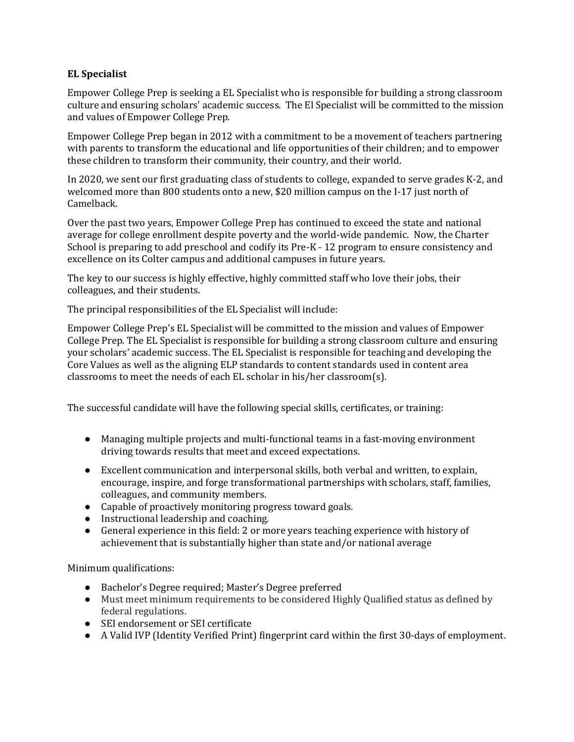## **EL Specialist**

Empower College Prep is seeking a EL Specialist who is responsible for building a strong classroom culture and ensuring scholars' academic success. The El Specialist will be committed to the mission and values of Empower College Prep.

Empower College Prep began in 2012 with a commitment to be a movement of teachers partnering with parents to transform the educational and life opportunities of their children; and to empower these children to transform their community, their country, and their world.

In 2020, we sent our first graduating class of students to college, expanded to serve grades K-2, and welcomed more than 800 students onto a new, \$20 million campus on the I-17 just north of Camelback.

Over the past two years, Empower College Prep has continued to exceed the state and national average for college enrollment despite poverty and the world-wide pandemic. Now, the Charter School is preparing to add preschool and codify its Pre-K - 12 program to ensure consistency and excellence on its Colter campus and additional campuses in future years.

The key to our success is highly effective, highly committed staff who love their jobs, their colleagues, and their students.

The principal responsibilities of the EL Specialist will include:

Empower College Prep's EL Specialist will be committed to the mission and values of Empower College Prep. The EL Specialist is responsible for building a strong classroom culture and ensuring your scholars' academic success. The EL Specialist is responsible for teaching and developing the Core Values as well as the aligning ELP standards to content standards used in content area classrooms to meet the needs of each EL scholar in his/her classroom(s).

The successful candidate will have the following special skills, certificates, or training:

- Managing multiple projects and multi-functional teams in a fast-moving environment driving towards results that meet and exceed expectations.
- Excellent communication and interpersonal skills, both verbal and written, to explain, encourage, inspire, and forge transformational partnerships with scholars, staff, families, colleagues, and community members.
- Capable of proactively monitoring progress toward goals.
- Instructional leadership and coaching.
- General experience in this field: 2 or more years teaching experience with history of achievement that is substantially higher than state and/or national average

Minimum qualifications:

- Bachelor's Degree required; Master's Degree preferred
- Must meet minimum requirements to be considered Highly Qualified status as defined by federal regulations.
- SEI endorsement or SEI certificate
- A Valid IVP (Identity Verified Print) fingerprint card within the first 30-days of employment.